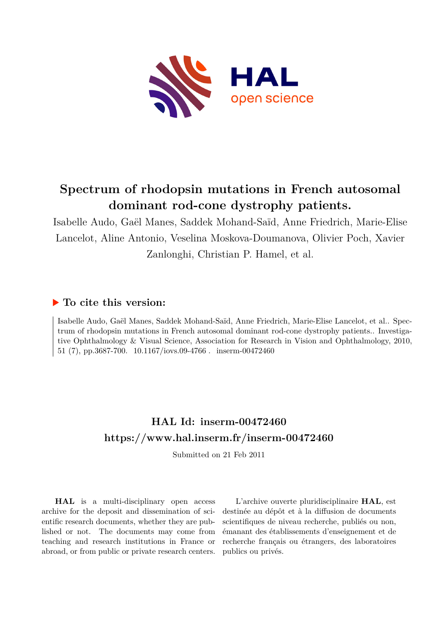

# **Spectrum of rhodopsin mutations in French autosomal dominant rod-cone dystrophy patients.**

Isabelle Audo, Gaël Manes, Saddek Mohand-Saïd, Anne Friedrich, Marie-Elise Lancelot, Aline Antonio, Veselina Moskova-Doumanova, Olivier Poch, Xavier Zanlonghi, Christian P. Hamel, et al.

# **To cite this version:**

Isabelle Audo, Gaël Manes, Saddek Mohand-Saïd, Anne Friedrich, Marie-Elise Lancelot, et al.. Spectrum of rhodopsin mutations in French autosomal dominant rod-cone dystrophy patients.. Investigative Ophthalmology & Visual Science, Association for Research in Vision and Ophthalmology, 2010, 51 (7), pp.3687-700. 10.1167/iovs.09-4766 . inserm-00472460

# **HAL Id: inserm-00472460 <https://www.hal.inserm.fr/inserm-00472460>**

Submitted on 21 Feb 2011

**HAL** is a multi-disciplinary open access archive for the deposit and dissemination of scientific research documents, whether they are published or not. The documents may come from teaching and research institutions in France or abroad, or from public or private research centers.

L'archive ouverte pluridisciplinaire **HAL**, est destinée au dépôt et à la diffusion de documents scientifiques de niveau recherche, publiés ou non, émanant des établissements d'enseignement et de recherche français ou étrangers, des laboratoires publics ou privés.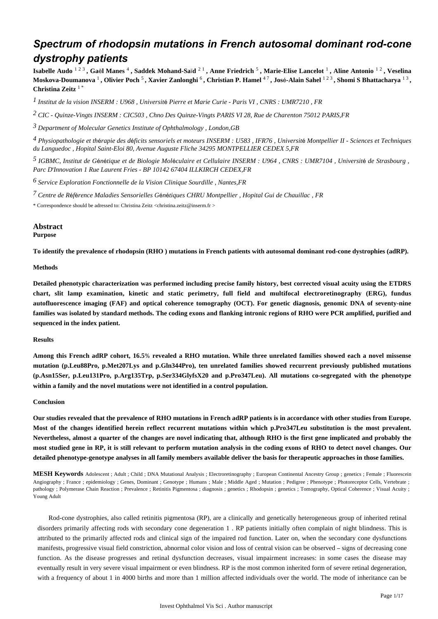# *Spectrum of rhodopsin mutations in French autosomal dominant rod-cone dystrophy patients*

**Isabelle Audo** 1 2 3 **, Ga**ë**l Manes** <sup>4</sup> **, Saddek Mohand-Sa**ï**d** 2 1 **, Anne Friedrich** <sup>5</sup> **, Marie-Elise Lancelot** <sup>1</sup> **, Aline Antonio** 1 2 **, Veselina Moskova-Doumanova** <sup>1</sup> **, Olivier Poch** <sup>5</sup> **, Xavier Zanlonghi** <sup>6</sup> **, Christian P. Hamel** 4 7 **, Jos**é**-Alain Sahel** 1 2 3 **, Shomi S Bhattacharya** 1 3 **, Christina Zeitz** 1 \*

*Institut de la vision 1 INSERM : U968 , Universit*é *Pierre et Marie Curie - Paris VI , CNRS : UMR7210 , FR*

*CIC - Quinze-Vingts 2 INSERM : CIC503 , Chno Des Quinze-Vingts PARIS VI 28, Rue de Charenton 75012 PARIS,FR*

*Department of Molecular Genetics 3 Institute of Ophthalmology , London,GB*

*Physiopathologie et th rapie des d ficits sensoriels et moteurs 4* <sup>é</sup> <sup>é</sup> *INSERM : U583 , IFR76 , Universit*é *Montpellier II - Sciences et Techniques du Languedoc , Hopital Saint-Eloi 80, Avenue Auguste Fliche 34295 MONTPELLIER CEDEX 5,FR*

*IGBMC, Institut de G n tique et de Biologie Mol culaire et Cellulaire 5* <sup>é</sup> <sup>é</sup> <sup>é</sup> *INSERM : U964 , CNRS : UMR7104 , Universit*é *de Strasbourg , Parc D*'*Innovation 1 Rue Laurent Fries - BP 10142 67404 ILLKIRCH CEDEX,FR*

*Service Exploration Fonctionnelle de la Vision 6 Clinique Sourdille , Nantes,FR*

*Centre de R f rence Maladies Sensorielles G n tiques 7* <sup>é</sup> <sup>é</sup> <sup>é</sup> <sup>é</sup> *CHRU Montpellier , Hopital Gui de Chauillac , FR*

\* Correspondence should be adressed to: Christina Zeitz <christina.zeitz@inserm.fr >

# **Abstract**

## **Purpose**

**To identify the prevalence of rhodopsin (RHO ) mutations in French patients with autosomal dominant rod-cone dystrophies (adRP).**

#### **Methods**

**Detailed phenotypic characterization was performed including precise family history, best corrected visual acuity using the ETDRS chart, slit lamp examination, kinetic and static perimetry, full field and multifocal electroretinography (ERG), fundus autofluorescence imaging (FAF) and optical coherence tomography (OCT). For genetic diagnosis, genomic DNA of seventy-nine families was isolated by standard methods. The coding exons and flanking intronic regions of RHO were PCR amplified, purified and sequenced in the index patient.**

#### **Results**

**Among this French adRP cohort, 16.5**% **revealed a RHO mutation. While three unrelated families showed each a novel missense mutation (p.Leu88Pro, p.Met207Lys and p.Gln344Pro), ten unrelated families showed recurrent previously published mutations (p.Asn15Ser, p.Leu131Pro, p.Arg135Trp, p.Ser334GlyfsX20 and p.Pro347Leu). All mutations co-segregated with the phenotype within a family and the novel mutations were not identified in a control population.**

#### **Conclusion**

**Our studies revealed that the prevalence of RHO mutations in French adRP patients is in accordance with other studies from Europe. Most of the changes identified herein reflect recurrent mutations within which p.Pro347Leu substitution is the most prevalent. Nevertheless, almost a quarter of the changes are novel indicating that, although RHO is the first gene implicated and probably the most studied gene in RP, it is still relevant to perform mutation analysis in the coding exons of RHO to detect novel changes. Our detailed phenotype-genotype analyses in all family members available deliver the basis for therapeutic approaches in those families.**

**MESH Keywords** Adolescent ; Adult ; Child ; DNA Mutational Analysis ; Electroretinography ; European Continental Ancestry Group ; genetics ; Female ; Fluorescein Angiography ; France ; epidemiology ; Genes, Dominant ; Genotype ; Humans ; Male ; Middle Aged ; Mutation ; Pedigree ; Phenotype ; Photoreceptor Cells, Vertebrate ; pathology ; Polymerase Chain Reaction ; Prevalence ; Retinitis Pigmentosa ; diagnosis ; genetics ; Rhodopsin ; genetics ; Tomography, Optical Coherence ; Visual Acuity ; Young Adult

Rod-cone dystrophies, also called retinitis pigmentosa (RP), are a clinically and genetically heterogeneous group of inherited retinal disorders primarily affecting rods with secondary cone degeneration 1 . RP patients initially often complain of night blindness. This is attributed to the primarily affected rods and clinical sign of the impaired rod function. Later on, when the secondary cone dysfunctions manifests, progressive visual field constriction, abnormal color vision and loss of central vision can be observed – signs of decreasing cone function. As the disease progresses and retinal dysfunction decreases, visual impairment increases: in some cases the disease may eventually result in very severe visual impairment or even blindness. RP is the most common inherited form of severe retinal degeneration, with a frequency of about 1 in 4000 births and more than 1 million affected individuals over the world. The mode of inheritance can be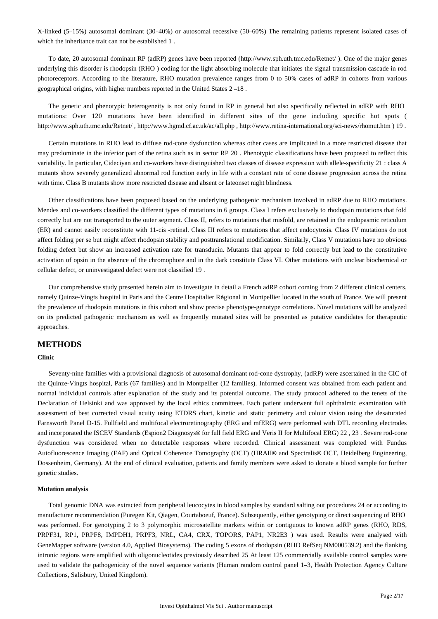X-linked (5–15%) autosomal dominant (30–40%) or autosomal recessive (50–60%) The remaining patients represent isolated cases of which the inheritance trait can not be established 1 .

To date, 20 autosomal dominant RP (adRP) genes have been reported (http://www.sph.uth.tmc.edu/Retnet/ ). One of the major genes underlying this disorder is rhodopsin (RHO ) coding for the light absorbing molecule that initiates the signal transmission cascade in rod photoreceptors. According to the literature, RHO mutation prevalence ranges from 0 to 50% cases of adRP in cohorts from various geographical origins, with higher numbers reported in the United States 2 –18 .

The genetic and phenotypic heterogeneity is not only found in RP in general but also specifically reflected in adRP with RHO mutations: Over 120 mutations have been identified in different sites of the gene including specific hot spots ( http://www.sph.uth.tmc.edu/Retnet/ , http://www.hgmd.cf.ac.uk/ac/all.php , http://www.retina-international.org/sci-news/rhomut.htm ) 19 .

Certain mutations in RHO lead to diffuse rod-cone dysfunction whereas other cases are implicated in a more restricted disease that may predominate in the inferior part of the retina such as in sector RP 20 . Phenotypic classifications have been proposed to reflect this variability. In particular, Cideciyan and co-workers have distinguished two classes of disease expression with allele-specificity 21 : class A mutants show severely generalized abnormal rod function early in life with a constant rate of cone disease progression across the retina with time. Class B mutants show more restricted disease and absent or lateonset night blindness.

Other classifications have been proposed based on the underlying pathogenic mechanism involved in adRP due to RHO mutations. Mendes and co-workers classified the different types of mutations in 6 groups. Class I refers exclusively to rhodopsin mutations that fold correctly but are not transported to the outer segment. Class II, refers to mutations that misfold, are retained in the endopasmic reticulum (ER) and cannot easily reconstitute with 11-cis -retinal. Class III refers to mutations that affect endocytosis. Class IV mutations do not affect folding per se but might affect rhodopsin stability and posttranslational modification. Similarly, Class V mutations have no obvious folding defect but show an increased activation rate for transducin. Mutants that appear to fold correctly but lead to the constitutive activation of opsin in the absence of the chromophore and in the dark constitute Class VI. Other mutations with unclear biochemical or cellular defect, or uninvestigated defect were not classified 19 .

Our comprehensive study presented herein aim to investigate in detail a French adRP cohort coming from 2 different clinical centers, namely Quinze-Vingts hospital in Paris and the Centre Hospitalier Régional in Montpellier located in the south of France. We will present the prevalence of rhodopsin mutations in this cohort and show precise phenotype-genotype correlations. Novel mutations will be analyzed on its predicted pathogenic mechanism as well as frequently mutated sites will be presented as putative candidates for therapeutic approaches.

### **METHODS**

### **Clinic**

Seventy-nine families with a provisional diagnosis of autosomal dominant rod-cone dystrophy, (adRP) were ascertained in the CIC of the Quinze-Vingts hospital, Paris (67 families) and in Montpellier (12 families). Informed consent was obtained from each patient and normal individual controls after explanation of the study and its potential outcome. The study protocol adhered to the tenets of the Declaration of Helsinki and was approved by the local ethics committees. Each patient underwent full ophthalmic examination with assessment of best corrected visual acuity using ETDRS chart, kinetic and static perimetry and colour vision using the desaturated Farnsworth Panel D-15. Fullfield and multifocal electroretinography (ERG and mfERG) were performed with DTL recording electrodes and incorporated the ISCEV Standards (Espion2 Diagnosys® for full field ERG and Veris II for Multifocal ERG) 22 , 23 . Severe rod-cone dysfunction was considered when no detectable responses where recorded. Clinical assessment was completed with Fundus Autofluorescence Imaging (FAF) and Optical Coherence Tomography (OCT) (HRAII® and Spectralis® OCT, Heidelberg Engineering, Dossenheim, Germany). At the end of clinical evaluation, patients and family members were asked to donate a blood sample for further genetic studies.

#### **Mutation analysis**

Total genomic DNA was extracted from peripheral leucocytes in blood samples by standard salting out procedures 24 or according to manufacturer recommendation (Puregen Kit, Qiagen, Courtaboeuf, France). Subsequently, either genotyping or direct sequencing of RHO was performed. For genotyping 2 to 3 polymorphic microsatellite markers within or contiguous to known adRP genes (RHO, RDS, PRPF31, RP1, PRPF8, IMPDH1, PRPF3, NRL, CA4, CRX, TOPORS, PAP1, NR2E3 ) was used. Results were analysed with GeneMapper software (version 4.0, Applied Biosystems). The coding 5 exons of rhodopsin (RHO RefSeq NM000539.2) and the flanking intronic regions were amplified with oligonucleotides previously described 25 At least 125 commercially available control samples were used to validate the pathogenicity of the novel sequence variants (Human random control panel 1-3, Health Protection Agency Culture Collections, Salisbury, United Kingdom).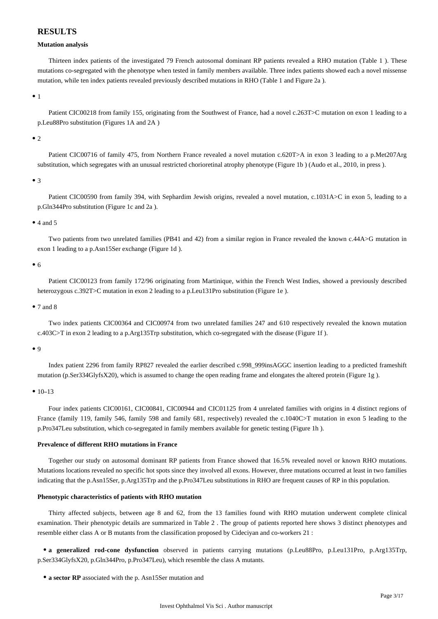# **RESULTS**

### **Mutation analysis**

Thirteen index patients of the investigated 79 French autosomal dominant RP patients revealed a RHO mutation (Table 1 ). These mutations co-segregated with the phenotype when tested in family members available. Three index patients showed each a novel missense mutation, while ten index patients revealed previously described mutations in RHO (Table 1 and Figure 2a ).

 $•<sub>1</sub>$ 

Patient CIC00218 from family 155, originating from the Southwest of France, had a novel c.263T>C mutation on exon 1 leading to a p.Leu88Pro substitution (Figures 1A and 2A )

 $\bullet$  2

Patient CIC00716 of family 475, from Northern France revealed a novel mutation c.620T>A in exon 3 leading to a p.Met207Arg substitution, which segregates with an unusual restricted chorioretinal atrophy phenotype (Figure 1b ) (Audo et al., 2010, in press ).

 $\bullet$  3

Patient CIC00590 from family 394, with Sephardim Jewish origins, revealed a novel mutation, c.1031A>C in exon 5, leading to a p.Gln344Pro substitution (Figure 1c and 2a ).

## $\bullet$  4 and 5

Two patients from two unrelated families (PB41 and 42) from a similar region in France revealed the known c.44A>G mutation in exon 1 leading to a p.Asn15Ser exchange (Figure 1d ).

 $\bullet$  6

Patient CIC00123 from family 172/96 originating from Martinique, within the French West Indies, showed a previously described heterozygous c.392T>C mutation in exon 2 leading to a p.Leu131Pro substitution (Figure 1e).

## • 7 and 8

Two index patients CIC00364 and CIC00974 from two unrelated families 247 and 610 respectively revealed the known mutation c.403C>T in exon 2 leading to a p.Arg135Trp substitution, which co-segregated with the disease (Figure 1f ).

 $\bullet$  Q

Index patient 2296 from family RP827 revealed the earlier described c.998\_999insAGGC insertion leading to a predicted frameshift mutation (p.Ser334GlyfsX20), which is assumed to change the open reading frame and elongates the altered protein (Figure 1g ).

 $• 10-13$ 

Four index patients CIC00161, CIC00841, CIC00944 and CIC01125 from 4 unrelated families with origins in 4 distinct regions of France (family 119, family 546, family 598 and family 681, respectively) revealed the c.1040C>T mutation in exon 5 leading to the p.Pro347Leu substitution, which co-segregated in family members available for genetic testing (Figure 1h ).

# **Prevalence of different RHO mutations in France**

Together our study on autosomal dominant RP patients from France showed that 16.5% revealed novel or known RHO mutations. Mutations locations revealed no specific hot spots since they involved all exons. However, three mutations occurred at least in two families indicating that the p.Asn15Ser, p.Arg135Trp and the p.Pro347Leu substitutions in RHO are frequent causes of RP in this population.

### **Phenotypic characteristics of patients with RHO mutation**

Thirty affected subjects, between age 8 and 62, from the 13 families found with RHO mutation underwent complete clinical examination. Their phenotypic details are summarized in Table 2 . The group of patients reported here shows 3 distinct phenotypes and resemble either class A or B mutants from the classification proposed by Cideciyan and co-workers 21 :

**a generalized rod-cone dysfunction** observed in patients carrying mutations (p.Leu88Pro, p.Leu131Pro, p.Arg135Trp, p.Ser334GlyfsX20, p.Gln344Pro, p.Pro347Leu), which resemble the class A mutants.

**a sector RP** associated with the p. Asn15Ser mutation and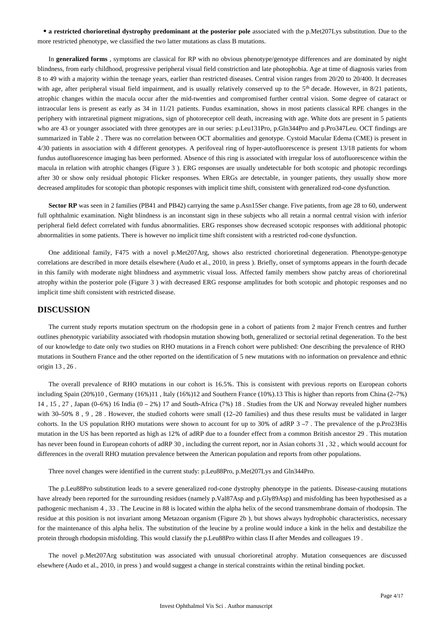**a restricted chorioretinal dystrophy predominant at the posterior pole** associated with the p.Met207Lys substitution. Due to the more restricted phenotype, we classified the two latter mutations as class B mutations.

In **generalized forms** , symptoms are classical for RP with no obvious phenotype/genotype differences and are dominated by night blindness, from early childhood, progressive peripheral visual field constriction and late photophobia. Age at time of diagnosis varies from 8 to 49 with a majority within the teenage years, earlier than restricted diseases. Central vision ranges from 20/20 to 20/400. It decreases with age, after peripheral visual field impairment, and is usually relatively conserved up to the  $5<sup>th</sup>$  decade. However, in 8/21 patients, atrophic changes within the macula occur after the mid-twenties and compromised further central vision. Some degree of cataract or intraocular lens is present as early as 34 in 11/21 patients. Fundus examination, shows in most patients classical RPE changes in the periphery with intraretinal pigment migrations, sign of photoreceptor cell death, increasing with age. White dots are present in 5 patients who are 43 or younger associated with three genotypes are in our series: p.Leu131Pro, p.Gln344Pro and p.Pro347Leu. OCT findings are summarized in Table 2 . There was no correlation between OCT abormalities and genotype. Cystoid Macular Edema (CME) is present in 4/30 patients in association with 4 different genotypes. A perifoveal ring of hyper-autofluorescence is present 13/18 patients for whom fundus autofluorescence imaging has been performed. Absence of this ring is associated with irregular loss of autofluorescence within the macula in relation with atrophic changes (Figure 3 ). ERG responses are usually undetectable for both scotopic and photopic recordings after 30 or show only residual photopic Flicker responses. When ERGs are detectable, in younger patients, they usually show more decreased amplitudes for scotopic than photopic responses with implicit time shift, consistent with generalized rod-cone dysfunction.

**Sector RP** was seen in 2 families (PB41 and PB42) carrying the same p.Asn15Ser change. Five patients, from age 28 to 60, underwent full ophthalmic examination. Night blindness is an inconstant sign in these subjects who all retain a normal central vision with inferior peripheral field defect correlated with fundus abnormalities. ERG responses show decreased scotopic responses with additional photopic abnormalities in some patients. There is however no implicit time shift consistent with a restricted rod-cone dysfunction.

One additional family, F475 with a novel p.Met207Arg, shows also restricted chorioretinal degeneration. Phenotype-genotype correlations are described in more details elsewhere (Audo et al., 2010, in press ). Briefly, onset of symptoms appears in the fourth decade in this family with moderate night blindness and asymmetric visual loss. Affected family members show patchy areas of chorioretinal atrophy within the posterior pole (Figure 3 ) with decreased ERG response amplitudes for both scotopic and photopic responses and no implicit time shift consistent with restricted disease.

# **DISCUSSION**

The current study reports mutation spectrum on the rhodopsin gene in a cohort of patients from 2 major French centres and further outlines phenotypic variability associated with rhodopsin mutation showing both, generalized or sectorial retinal degeneration. To the best of our knowledge to date only two studies on RHO mutations in a French cohort were published: One describing the prevalence of RHO mutations in Southern France and the other reported on the identification of 5 new mutations with no information on prevalence and ethnic origin 13 , 26 .

The overall prevalence of RHO mutations in our cohort is 16.5%. This is consistent with previous reports on European cohorts including Spain (20%)10 , Germany (16%)11 , Italy (16%)12 and Southern France (10%).13 This is higher than reports from China (2–7%) 14 , 15 , 27 , Japan (0–6%) 16 India (0 – 2%) 17 and South-Africa (7%) 18 . Studies from the UK and Norway revealed higher numbers with 30–50% 8, 9, 28. However, the studied cohorts were small (12–20 families) and thus these results must be validated in larger cohorts. In the US population RHO mutations were shown to account for up to 30% of adRP 3 –7. The prevalence of the p.Pro23His mutation in the US has been reported as high as 12% of adRP due to a founder effect from a common British ancestor 29 . This mutation has never been found in European cohorts of adRP 30, including the current report, nor in Asian cohorts 31, 32, which would account for differences in the overall RHO mutation prevalence between the American population and reports from other populations.

Three novel changes were identified in the current study: p.Leu88Pro, p.Met207Lys and Gln344Pro.

The p.Leu88Pro substitution leads to a severe generalized rod-cone dystrophy phenotype in the patients. Disease-causing mutations have already been reported for the surrounding residues (namely p.Val87Asp and p.Gly89Asp) and misfolding has been hypothesised as a pathogenic mechanism 4 , 33 . The Leucine in 88 is located within the alpha helix of the second transmembrane domain of rhodopsin. The residue at this position is not invariant among Metazoan organism (Figure 2b ), but shows always hydrophobic characteristics, necessary for the maintenance of this alpha helix. The substitution of the leucine by a proline would induce a kink in the helix and destabilize the protein through rhodopsin misfolding. This would classify the p.Leu88Pro within class II after Mendes and colleagues 19 .

The novel p.Met207Arg substitution was associated with unusual chorioretinal atrophy. Mutation consequences are discussed elsewhere (Audo et al., 2010, in press ) and would suggest a change in sterical constraints within the retinal binding pocket.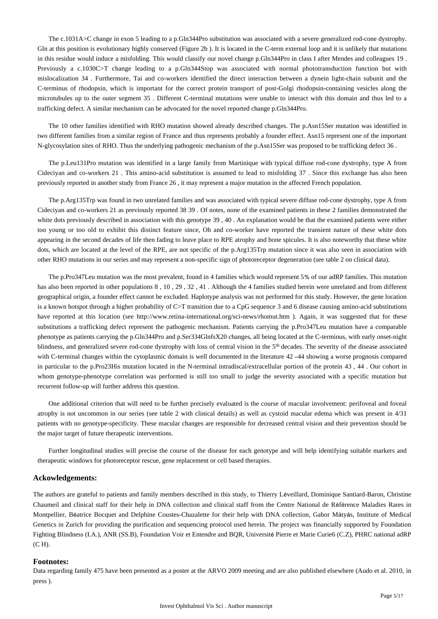The c.1031A>C change in exon 5 leading to a p.Gln344Pro substitution was associated with a severe generalized rod-cone dystrophy. Gln at this position is evolutionary highly conserved (Figure 2b ). It is located in the C-term external loop and it is unlikely that mutations in this residue would induce a misfolding. This would classify our novel change p.Gln344Pro in class I after Mendes and colleagues 19 . Previously a c.1030C>T change leading to a p.Gln344Stop was associated with normal phototransduction function but with mislocalization 34 . Furthermore, Tai and co-workers identified the direct interaction between a dynein light-chain subunit and the C-terminus of rhodopsin, which is important for the correct protein transport of post-Golgi rhodopsin-containing vesicles along the microtubules up to the outer segment 35 . Different C-terminal mutations were unable to interact with this domain and thus led to a trafficking defect. A similar mechanism can be advocated for the novel reported change p.Gln344Pro.

The 10 other families identified with RHO mutation showed already described changes. The p.Asn15Ser mutation was identified in two different families from a similar region of France and thus represents probably a founder effect. Asn15 represent one of the important N-glycosylation sites of RHO. Thus the underlying pathogenic mechanism of the p.Asn15Ser was proposed to be trafficking defect 36 .

The p.Leu131Pro mutation was identified in a large family from Martinique with typical diffuse rod-cone dystrophy, type A from Cideciyan and co-workers 21 . This amino-acid substitution is assumed to lead to misfolding 37 . Since this exchange has also been previously reported in another study from France 26 , it may represent a major mutation in the affected French population.

The p.Arg135Trp was found in two unrelated families and was associated with typical severe diffuse rod-cone dystrophy, type A from Cideciyan and co-workers 21 as previously reported 38 39 . Of notes, none of the examined patients in these 2 families demonstrated the white dots previously described in association with this genotype 39, 40. An explanation would be that the examined patients were either too young or too old to exhibit this distinct feature since, Oh and co-worker have reported the transient nature of these white dots appearing in the second decades of life then fading to leave place to RPE atrophy and bone spicules. It is also noteworthy that these white dots, which are located at the level of the RPE, are not specific of the p.Arg135Trp mutation since it was also seen in association with other RHO mutations in our series and may represent a non-specific sign of photoreceptor degeneration (see table 2 on clinical data).

The p.Pro347Leu mutation was the most prevalent, found in 4 families which would represent 5% of our adRP families. This mutation has also been reported in other populations 8 , 10 , 29 , 32 , 41 . Although the 4 families studied herein were unrelated and from different geographical origin, a founder effect cannot be excluded. Haplotype analysis was not performed for this study. However, the gene location is a known hotspot through a higher probability of C>T transition due to a CpG sequence 3 and 6 disease causing amino-acid substitutions have reported at this location (see http://www.retina-international.org/sci-news/rhomut.htm ). Again, it was suggested that for these substitutions a trafficking defect represent the pathogenic mechanism. Patients carrying the p.Pro347Leu mutation have a comparable phenotype as patients carrying the p.Gln344Pro and p.Ser334GlnfsX20 changes, all being located at the C-terminus, with early onset-night blindness, and generalized severe rod-cone dystrophy with loss of central vision in the 5<sup>th</sup> decades. The severity of the disease associated with C-terminal changes within the cytoplasmic domain is well documented in the literature 42 –44 showing a worse prognosis compared in particular to the p.Pro23His mutation located in the N-terminal intradiscal/extracellular portion of the protein 43 , 44 . Our cohort in whom genotype-phenotype correlation was performed is still too small to judge the severity associated with a specific mutation but recurrent follow-up will further address this question.

One additional criterion that will need to be further precisely evaluated is the course of macular involvement: perifoveal and foveal atrophy is not uncommon in our series (see table 2 with clinical details) as well as cystoid macular edema which was present in 4/31 patients with no genotype-specificity. These macular changes are responsible for decreased central vision and their prevention should be the major target of future therapeutic interventions.

Further longitudinal studies will precise the course of the disease for each genotype and will help identifying suitable markers and therapeutic windows for photoreceptor rescue, gene replacement or cell based therapies.

### **Ackowledgements:**

The authors are grateful to patients and family members described in this study, to Thierry Léveillard, Dominique Santiard-Baron, Christine Chaumeil and clinical staff for their help in DNA collection and clinical staff from the Centre National de Référence Maladies Rares in Montpellier, Béatrice Bocquet and Delphine Coustes-Chazalette for their help with DNA collection, Gabor Mátyás, Institute of Medical Genetics in Zurich for providing the purification and sequencing protocol used herein. The project was financially supported by Foundation Fighting Blindness (I.A.), ANR (SS.B), Foundation Voir et Entendre and BQR, Université Pierre et Marie Curie6 (C.Z), PHRC national adRP (C H).

## **Footnotes:**

Data regarding family 475 have been presented as a poster at the ARVO 2009 meeting and are also published elsewhere (Audo et al. 2010, in press ).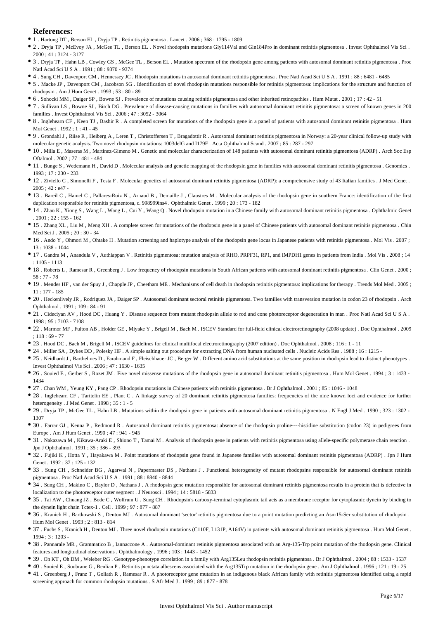### **References:**

- 1 . Hartong DT , Berson EL , Dryja TP . Retinitis pigmentosa . Lancet . 2006 ; 368 : 1795 1809
- 2 . Dryja TP , McEvoy JA , McGee TL , Berson EL . Novel rhodopsin mutations Gly114Val and Gln184Pro in dominant retinitis pigmentosa . Invest Ophthalmol Vis Sci .  $2000 \cdot 41 \cdot 3124 = 3127$
- 3 . Dryja TP , Hahn LB , Cowley GS , McGee TL , Berson EL . Mutation spectrum of the rhodopsin gene among patients with autosomal dominant retinitis pigmentosa . Proc Natl Acad Sci U S A . 1991 ; 88 : 9370 - 9374
- 4 . Sung CH , Davenport CM , Hennessey JC . Rhodopsin mutations in autosomal dominant retinitis pigmentosa . Proc Natl Acad Sci U S A . 1991 ; 88 : 6481 6485
- 5 . Macke JP , Davenport CM , Jacobson SG . Identification of novel rhodopsin mutations responsible for retinitis pigmentosa: implications for the structure and function of rhodopsin . Am J Hum Genet . 1993 ; 53 : 80 - 89
- 6 . Sohocki MM , Daiger SP , Bowne SJ . Prevalence of mutations causing retinitis pigmentosa and other inherited retinopathies . Hum Mutat . 2001 ; 17 : 42 51
- 7 . Sullivan LS , Bowne SJ , Birch DG . Prevalence of disease-causing mutations in families with autosomal dominant retinitis pigmentosa: a screen of known genes in 200 families . Invest Ophthalmol Vis Sci . 2006 ; 47 : 3052 - 3064
- 8 . Inglehearn CF , Keen TJ , Bashir R . A completed screen for mutations of the rhodopsin gene in a panel of patients with autosomal dominant retinitis pigmentosa . Hum Mol Genet . 1992 ; 1 : 41 - 45
- 9 . Grondahl J , Riise R , Heiberg A , Leren T , Christoffersen T , Bragadottir R . Autosomal dominant retinitis pigmentosa in Norway: a 20-year clinical follow-up study with molecular genetic analysis. Two novel rhodopsin mutations: 1003delG and I179F . Acta Ophthalmol Scand . 2007 ; 85 : 287 - 297
- 10 . Milla E , Maseras M , Martinez-Gimeno M . Genetic and molecular characterization of 148 patients with autosomal dominant retinitis pigmentosa (ADRP) . Arch Soc Esp Oftalmol . 2002 ; 77 : 481 - 484
- 11 . Bunge S , Wedemann H , David D . Molecular analysis and genetic mapping of the rhodopsin gene in families with autosomal dominant retinitis pigmentosa . Genomics . 1993 ; 17 : 230 - 233
- 12 . Ziviello C , Simonelli F , Testa F . Molecular genetics of autosomal dominant retinitis pigmentosa (ADRP): a comprehensive study of 43 Italian families . J Med Genet . 2005 ; 42 : e47 -
- 13 . Bareil C , Hamel C , Pallares-Ruiz N , Arnaud B , Demaille J , Claustres M . Molecular analysis of the rhodopsin gene in southern France: identification of the first duplication responsible for retinitis pigmentosa, c. 998999ins4 . Ophthalmic Genet . 1999 ; 20 : 173 - 182
- 14 . Zhao K , Xiong S , Wang L , Wang L , Cui Y , Wang Q . Novel rhodopsin mutation in a Chinese family with autosomal dominant retinitis pigmentosa . Ophthalmic Genet . 2001 ; 22 : 155 - 162
- 15 . Zhang XL , Liu M , Meng XH . A complete screen for mutations of the rhodopsin gene in a panel of Chinese patients with autosomal dominant retinitis pigmentosa . Chin Med Sci J . 2005 ; 20 : 30 - 34
- 16 . Ando Y , Ohmori M , Ohtake H . Mutation screening and haplotype analysis of the rhodopsin gene locus in Japanese patients with retinitis pigmentosa . Mol Vis . 2007 ;  $13 \cdot 1038 - 1044$
- 17 . Gandra M , Anandula V , Authiappan V . Retinitis pigmentosa: mutation analysis of RHO, PRPF31, RP1, and IMPDH1 genes in patients from India . Mol Vis . 2008 ; 14 : 1105 - 1113
- 18 . Roberts L , Ramesar R , Greenberg J . Low frequency of rhodopsin mutations in South African patients with autosomal dominant retinitis pigmentosa . Clin Genet . 2000 ; 58 : 77 - 78
- 19 . Mendes HF , van der Spuy J , Chapple JP , Cheetham ME . Mechanisms of cell death in rhodopsin retinitis pigmentosa: implications for therapy . Trends Mol Med . 2005 ; 11 : 177 - 185
- 20 . Heckenlively JR , Rodriguez JA , Daiger SP . Autosomal dominant sectoral retinitis pigmentosa. Two families with transversion mutation in codon 23 of rhodopsin . Arch Ophthalmol . 1991 ; 109 : 84 - 91
- 21 . Cideciyan AV, Hood DC, Huang Y. Disease sequence from mutant rhodopsin allele to rod and cone photoreceptor degeneration in man. Proc Natl Acad Sci U S A. 1998 ; 95 : 7103 - 7108
- 22 . Marmor MF , Fulton AB , Holder GE , Miyake Y , Brigell M , Bach M . ISCEV Standard for full-field clinical electroretinography (2008 update) . Doc Ophthalmol . 2009  $.118 \cdot 69 - 77$
- 23 . Hood DC , Bach M , Brigell M . ISCEV guidelines for clinical multifocal electroretinography (2007 edition) . Doc Ophthalmol . 2008 ; 116 : 1 11
- 24 . Miller SA , Dykes DD , Polesky HF . A simple salting out procedure for extracting DNA from human nucleated cells . Nucleic Acids Res . 1988 ; 16 : 1215 -
- 25 . Neidhardt J , Barthelmes D , Farahmand F , Fleischhauer JC , Berger W . Different amino acid substitutions at the same position in rhodopsin lead to distinct phenotypes . Invest Ophthalmol Vis Sci . 2006 ; 47 : 1630 - 1635
- 26 . Souied E, Gerber S, Rozet JM. Five novel missense mutations of the rhodopsin gene in autosomal dominant retinitis pigmentosa. Hum Mol Genet . 1994 ; 3 : 1433 -1434
- 27 . Chan WM , Yeung KY , Pang CP . Rhodopsin mutations in Chinese patients with retinitis pigmentosa . Br J Ophthalmol . 2001 ; 85 : 1046 1048
- 28 . Inglehearn CF, Tarttelin EE, Plant C. A linkage survey of 20 dominant retinitis pigmentosa families: frequencies of the nine known loci and evidence for further heterogeneity . J Med Genet . 1998 ; 35 : 1 - 5
- 29 . Dryja TP, McGee TL, Hahn LB. Mutations within the rhodopsin gene in patients with autosomal dominant retinitis pigmentosa . N Engl J Med . 1990; 323: 1302 -1307
- 30 . Farrar GJ , Kenna P , Redmond R . Autosomal dominant retinitis pigmentosa: absence of the rhodopsin proline----histidine substitution (codon 23) in pedigrees from Europe . Am J Hum Genet . 1990 ; 47 : 941 - 945
- 31 . Nakazawa M , Kikawa-Araki E , Shiono T , Tamai M . Analysis of rhodopsin gene in patients with retinitis pigmentosa using allele-specific polymerase chain reaction . Jpn J Ophthalmol . 1991 ; 35 : 386 - 393
- 32 . Fujiki K , Hotta Y , Hayakawa M . Point mutations of rhodopsin gene found in Japanese families with autosomal dominant retinitis pigmentosa (ADRP) . Jpn J Hum Genet . 1992 ; 37 : 125 - 132
- 33 . Sung CH , Schneider BG , Agarwal N , Papermaster DS , Nathans J . Functional heterogeneity of mutant rhodopsins responsible for autosomal dominant retinitis pigmentosa . Proc Natl Acad Sci U S A . 1991 ; 88 : 8840 - 8844
- 34 . Sung CH , Makino C , Baylor D , Nathans J . A rhodopsin gene mutation responsible for autosomal dominant retinitis pigmentosa results in a protein that is defective in localization to the photoreceptor outer segment . J Neurosci . 1994 ; 14 : 5818 - 5833
- <sup>3</sup> 35 . Tai AW, Chuang JZ, Bode C, Wolfrum U, Sung CH. Rhodopsin's carboxy-terminal cytoplasmic tail acts as a membrane receptor for cytoplasmic dynein by binding to the dynein light chain Tctex-1 . Cell . 1999 ; 97 : 877 - 887
- 36 . Kranich H , Bartkowski S , Denton MJ . Autosomal dominant 'sector' retinitis pigmentosa due to a point mutation predicting an Asn-15-Ser substitution of rhodopsin . Hum Mol Genet . 1993 ; 2 : 813 - 814
- 37 . Fuchs S , Kranich H , Denton MJ . Three novel rhodopsin mutations (C110F, L131P, A164V) in patients with autosomal dominant retinitis pigmentosa . Hum Mol Genet .  $1994 \cdot 3 \cdot 1203$ .
- 38 . Pannarale MR , Grammatico B , Iannaccone A . Autosomal-dominant retinitis pigmentosa associated with an Arg-135-Trp point mutation of the rhodopsin gene. Clinical features and longitudinal observations . Ophthalmology . 1996 ; 103 : 1443 - 1452
- 39 . Oh KT , Oh DM , Weleber RG . Genotype-phenotype correlation in a family with Arg135Leu rhodopsin retinitis pigmentosa . Br J Ophthalmol . 2004 ; 88 : 1533 1537
- 40 . Souied E , Soubrane G , Benlian P . Retinitis punctata albescens associated with the Arg135Trp mutation in the rhodopsin gene . Am J Ophthalmol . 1996 ; 121 : 19 25
- 41 . Greenberg J , Franz T , Goliath R , Ramesar R . A photoreceptor gene mutation in an indigenous black African family with retinitis pigmentosa identified using a rapid screening approach for common rhodopsin mutations . S Afr Med J . 1999 ; 89 : 877 - 878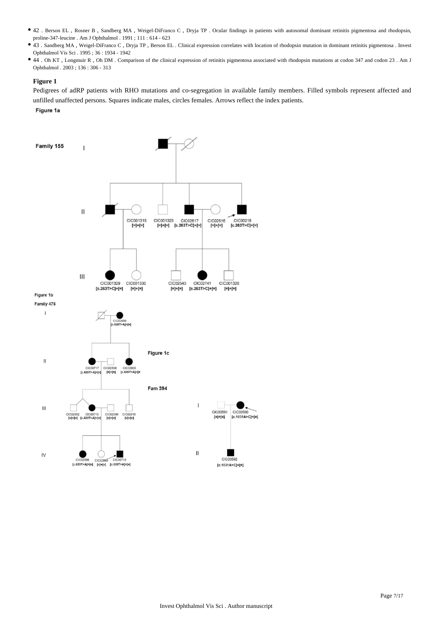- 42 . Berson EL , Rosner B , Sandberg MA , Weigel-DiFranco C , Dryja TP . Ocular findings in patients with autosomal dominant retinitis pigmentosa and rhodopsin, proline-347-leucine . Am J Ophthalmol . 1991 ; 111 : 614 - 623
- 43 . Sandberg MA , Weigel-DiFranco C , Dryja TP , Berson EL . Clinical expression correlates with location of rhodopsin mutation in dominant retinitis pigmentosa . Invest Ophthalmol Vis Sci . 1995 ; 36 : 1934 - 1942
- 44 . Oh KT , Longmuir R , Oh DM . Comparison of the clinical expression of retinitis pigmentosa associated with rhodopsin mutations at codon 347 and codon 23 . Am J Ophthalmol . 2003 ; 136 : 306 - 313

### **Figure 1**

Pedigrees of adRP patients with RHO mutations and co-segregation in available family members. Filled symbols represent affected and unfilled unaffected persons. Squares indicate males, circles females. Arrows reflect the index patients.

Figure 1a

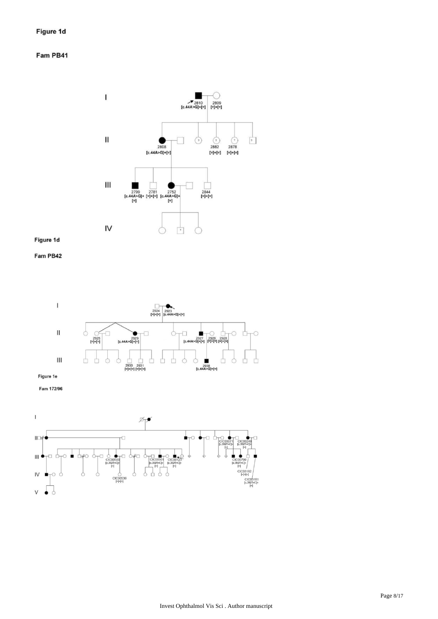# Fam PB41



# Figure 1d





Fam 172/96

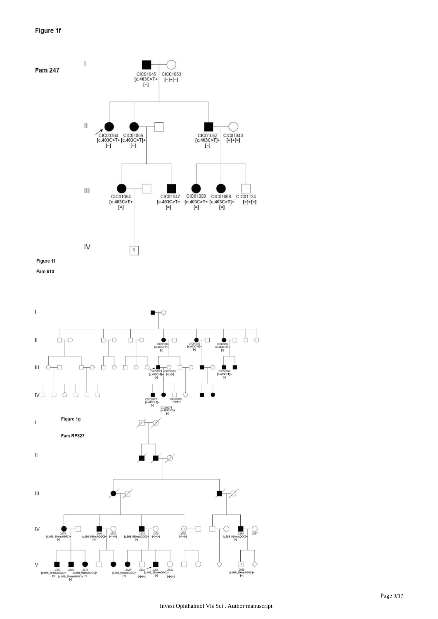# Figure 1f



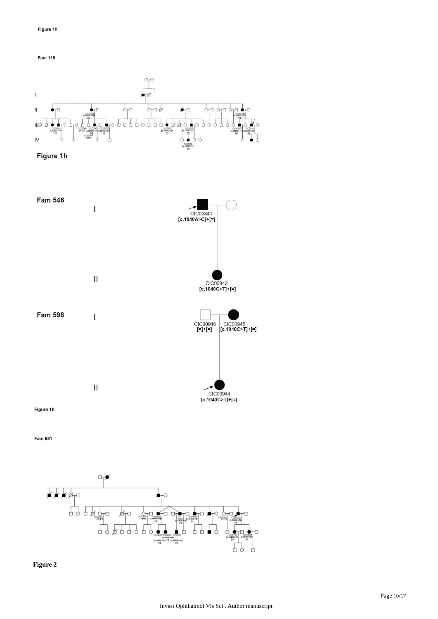







Fam 681



**Figure 2**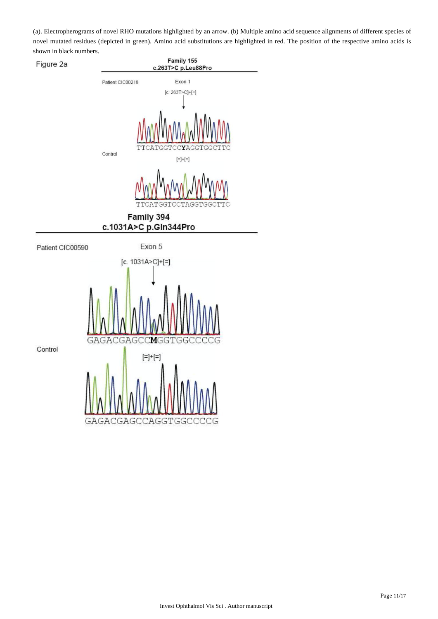(a). Electropherograms of novel RHO mutations highlighted by an arrow. (b) Multiple amino acid sequence alignments of different species of novel mutated residues (depicted in green). Amino acid substitutions are highlighted in red. The position of the respective amino acids is shown in black numbers.

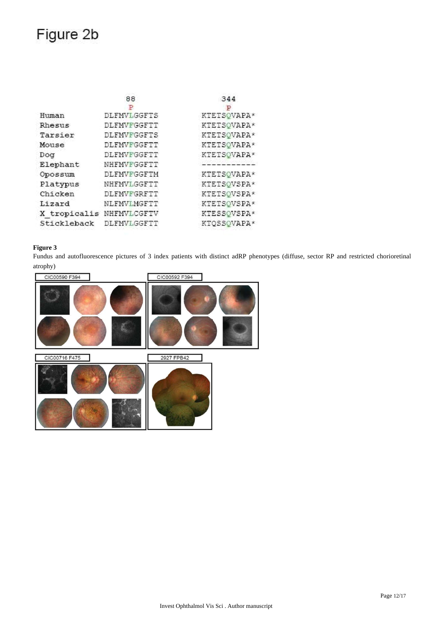# Figure 2b

|                          | 88          | 344                |
|--------------------------|-------------|--------------------|
|                          |             |                    |
| Human                    | DLFMVLGGFTS | KTETSOVAPA*        |
| Rhesus                   | DLFMVFGGFTT | KTETSOVAPA*        |
| Tarsier                  | DLFMVFGGFTS | <b>KTETSOVAPA*</b> |
| Mouse                    | DLFMVFGGFTT | KTETSOVAPA*        |
| Dog                      | DLFMVFGGFTT | KTETSOVAPA*        |
| Elephant                 | NHFMVFGGFTT |                    |
| Opossum                  | DLFMVFGGFTM | KTETSOVAPA*        |
| Platypus                 | NHFMVLGGFTT | KTETSOVSPA*        |
| Chicken                  | DLFMVFGRFTT | KTETSQVSPA*        |
| Lizard                   | NLFMVIMGFTT | KTETSOVSPA*        |
| X tropicalis NHFMVLCGFTV |             | KTESSQVSPA*        |
| Stickleback              | DLFMVLGGFTT | KTQSSOVAPA*        |

# **Figure 3**

Fundus and autofluorescence pictures of 3 index patients with distinct adRP phenotypes (diffuse, sector RP and restricted chorioretinal atrophy)

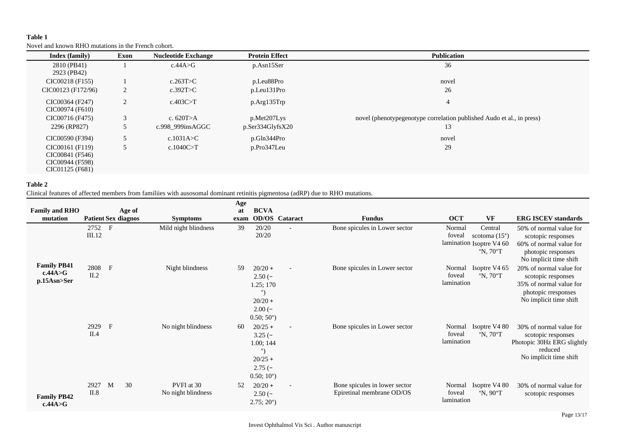# **Table 1**

Novel and known RHO mutations in the French cohort.

| Index (family)                                                           | Exon           | <b>Nucleotide Exchange</b> | <b>Protein Effect</b> | <b>Publication</b>                                                    |
|--------------------------------------------------------------------------|----------------|----------------------------|-----------------------|-----------------------------------------------------------------------|
| 2810 (PB41)<br>2923 (PB42)                                               |                | c.44A > G                  | $p. Asn15$ Ser        | 36                                                                    |
| CIC00218 (F155)                                                          |                | c.263T>C                   | p.Leu88Pro            | novel                                                                 |
| CIC00123 (F172/96)                                                       | 2              | c.392T>C                   | p.Leu131Pro           | 26                                                                    |
| CIC00364 (F247)<br>CIC00974 (F610)                                       | $\overline{2}$ | c.403C>T                   | p.Arg135Trp           | 4                                                                     |
| CIC00716 (F475)                                                          |                | c. $620T > A$              | p.Met207Lys           | novel (phenotypegenotype correlation published Audo et al., in press) |
| 2296 (RP827)                                                             | 5              | c.998 999insAGGC           | $p$ .Ser334GlyfsX20   | 13                                                                    |
| CIC00590 (F394)                                                          |                | c.1031A $\gt C$            | p.Gln344Pro           | novel                                                                 |
| CIC00161 (F119)<br>CIC00841 (F546)<br>CIC00944 (F598)<br>CIC01125 (F681) | 5              | c.1040C > T                | p.Pro347Leu           | 29                                                                    |

# **Table 2**

Clinical features of affected members from familiies with ausosomal dominant retinitis pigmentosa (adRP) due to RHO mutations.

| <b>Family and RHO</b><br>mutation              | Age of<br><b>Patient Sex diagnos</b> | <b>Symptoms</b>                  | Age<br>at<br>exam | <b>BCVA</b>                                                                                      | <b>OD/OS</b> Cataract    | <b>Fundus</b>                                              | <b>OCT</b>                     | <b>VF</b>                                                                                         | <b>ERG ISCEV standards</b>                                                                                                |
|------------------------------------------------|--------------------------------------|----------------------------------|-------------------|--------------------------------------------------------------------------------------------------|--------------------------|------------------------------------------------------------|--------------------------------|---------------------------------------------------------------------------------------------------|---------------------------------------------------------------------------------------------------------------------------|
|                                                | 2752 F<br>III.12                     | Mild night blindness             | 39                | 20/20<br>20/20                                                                                   | $\overline{\phantom{a}}$ | Bone spicules in Lower sector                              | Normal<br>foveal               | Central<br>scotoma $(15^{\circ})$<br>lamination Isoptre V4 60<br>$\mathrm{P}N$ , 70 $\mathrm{P}T$ | 50% of normal value for<br>scotopic responses<br>60% of normal value for<br>photopic responses<br>No implicit time shift  |
| <b>Family PB41</b><br>c.44A > G<br>p.15Asn>Ser | 2808 F<br>II.2                       | Night blindness                  | 59                | $20/20 +$<br>$2.50(-$<br>1.25; 170<br>$^{\circ}$<br>$20/20 +$<br>$2.00(-)$<br>$0.50; 50^{\circ}$ |                          | Bone spicules in Lower sector                              | Normal<br>foveal<br>lamination | Isoptre V4 65<br>$\mathrm{P}N$ , 70 $\mathrm{P}T$                                                 | 20% of normal value for<br>scotopic responses<br>35% of normal value for<br>photopic rresponses<br>No implicit time shift |
|                                                | 2929<br>$\mathbf{F}$<br>II.4         | No night blindness               | -60               | $20/25 +$<br>$3.25(-)$<br>1.00; 144<br>$\circ$<br>$20/25 +$<br>$2.75(-$<br>$0.50; 10^{\circ}$    |                          | Bone spicules in Lower sector                              | Normal<br>foveal<br>lamination | Isoptre V4 80<br>$\mathrm{N}$ , 70 $\mathrm{T}$                                                   | 30% of normal value for<br>scotopic responses<br>Photopic 30Hz ERG slightly<br>reduced<br>No implicit time shift          |
| <b>Family PB42</b><br>c.44A > G                | 30<br>2927<br>M<br>II.8              | PVFI at 30<br>No night blindness | 52                | $20/20 +$<br>$2.50(-)$<br>$2.75; 20^{\circ}$                                                     |                          | Bone spicules in lower sector<br>Epiretinal membrane OD/OS | Normal<br>foveal<br>lamination | Isoptre V4 80<br>$\mathrm{P}N$ , 90 $\mathrm{C}T$                                                 | 30% of normal value for<br>scotopic responses                                                                             |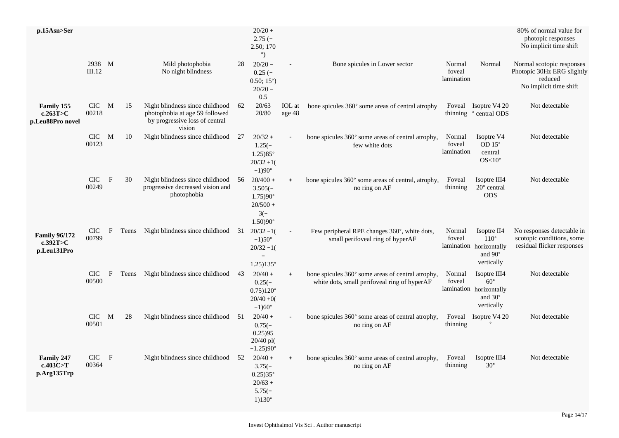| p.15Asn>Ser                                       |                    |              |       |                                                                                                               |      | $20/20 +$<br>$2.75(-$<br>2.50; 170<br>$^{\circ}$                                                    |                  |                                                                                                   |                                |                                                                                         | 80% of normal value for<br>photopic responses<br>No implicit time shift                      |
|---------------------------------------------------|--------------------|--------------|-------|---------------------------------------------------------------------------------------------------------------|------|-----------------------------------------------------------------------------------------------------|------------------|---------------------------------------------------------------------------------------------------|--------------------------------|-----------------------------------------------------------------------------------------|----------------------------------------------------------------------------------------------|
|                                                   | 2938 M<br>III.12   |              |       | Mild photophobia<br>No night blindness                                                                        | 28   | $20/20 -$<br>$0.25(-$<br>$0.50; 15^{\circ}$ )<br>$20/20 -$<br>0.5                                   |                  | Bone spicules in Lower sector                                                                     | Normal<br>foveal<br>lamination | Normal                                                                                  | Normal scotopic responses<br>Photopic 30Hz ERG slightly<br>reduced<br>No implicit time shift |
| <b>Family 155</b><br>c.263T>C<br>p.Leu88Pro novel | CIC M<br>00218     |              | 15    | Night blindness since childhood<br>photophobia at age 59 followed<br>by progressive loss of central<br>vision | 62   | 20/63<br>20/80                                                                                      | IOL at<br>age 48 | bone spicules 360° some areas of central atrophy                                                  |                                | Foveal Isoptre V4 20<br>thinning ° central ODS                                          | Not detectable                                                                               |
|                                                   | CIC M<br>00123     |              | 10    | Night blindness since childhood                                                                               | 27   | $20/32 +$<br>$1.25(-)$<br>$1.25)85^{\circ}$<br>$20/32 + 1$ (<br>$-1)90^\circ$                       |                  | bone spicules 360° some areas of central atrophy,<br>few white dots                               | Normal<br>foveal<br>lamination | Isoptre V4<br>OD $15^\circ$<br>central<br>$OS<10^{\circ}$                               | Not detectable                                                                               |
|                                                   | CIC -<br>00249     | $\mathbf{F}$ | 30    | Night blindness since childhood<br>progressive decreased vision and<br>photophobia                            | 56   | $20/400 +$<br>$3.505(-)$<br>$1.75)90^{\circ}$<br>$20/500 +$<br>$3(-)$<br>$1.50)90^{\circ}$          | $\ddot{}$        | bone spicules 360° some areas of central, atrophy,<br>no ring on AF                               | Foveal<br>thinning             | Isoptre III4<br>$20^{\circ}$ central<br><b>ODS</b>                                      | Not detectable                                                                               |
| <b>Family 96/172</b><br>c.392T>C<br>p.Leu131Pro   | CIC<br>00799       | $\mathbf{F}$ | Teens | Night blindness since childhood                                                                               | 31   | $20/32 - 1$<br>$-1$ )50 $^{\circ}$<br>$20/32 - 1$<br>$\overline{\phantom{a}}$<br>$1.25)135^{\circ}$ |                  | Few peripheral RPE changes 360°, white dots,<br>small perifoveal ring of hyperAF                  | Normal<br>foveal               | Isoptre II4<br>$110^{\circ}$<br>lamination horizontally<br>and 90°<br>vertically        | No responses detectable in<br>scotopic conditions, some<br>residual flicker responses        |
|                                                   | CIC -<br>00500     | $\mathbf{F}$ |       | Teens Night blindness since childhood                                                                         | 43   | $20/40 +$<br>$0.25(-)$<br>$0.75$ ) $120^{\circ}$<br>$20/40 + 0($<br>$-1)60^\circ$                   | $\ddot{}$        | bone spicules 360° some areas of central atrophy,<br>white dots, small perifoveal ring of hyperAF | Normal<br>foveal               | Isoptre III4<br>$60^{\circ}$<br>lamination horizontally<br>and $30^\circ$<br>vertically | Not detectable                                                                               |
|                                                   | CIC M<br>00501     |              | 28    | Night blindness since childhood                                                                               | -51  | $20/40 +$<br>$0.75(-)$<br>0.25)95<br>20/40 pl(<br>$-1.25)90^{\circ}$                                |                  | bone spicules 360° some areas of central atrophy,<br>no ring on AF                                | Foveal<br>thinning             | Isoptre V4 20                                                                           | Not detectable                                                                               |
| <b>Family 247</b><br>c.403C>T<br>p.Arg135Trp      | $CIC$ $F$<br>00364 |              |       | Night blindness since childhood                                                                               | - 52 | $20/40 +$<br>$3.75(-)$<br>$0.25335$ °<br>$20/63 +$<br>$5.75(-$<br>$1)130^{\circ}$                   | $+$              | bone spicules 360° some areas of central atrophy,<br>no ring on AF                                | Foveal<br>thinning             | Isoptre III4<br>$30^\circ$                                                              | Not detectable                                                                               |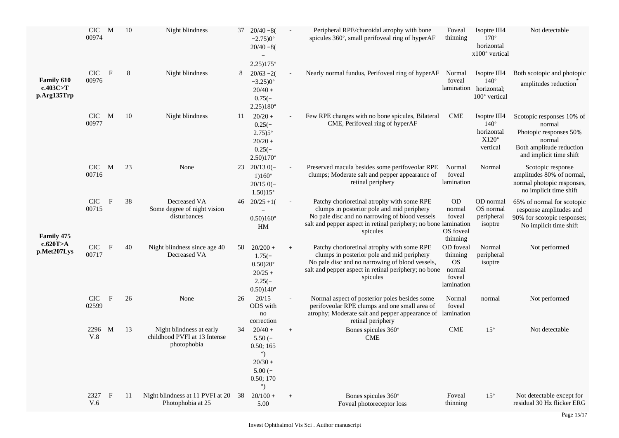|                                              | $CIC$ M<br>00974    |              | 10 | Night blindness                                                         | 37 | $20/40 - 8($<br>$-2.75)0^{\circ}$<br>$20/40 - 8($                                                      |           | Peripheral RPE/choroidal atrophy with bone<br>spicules 360°, small perifoveal ring of hyperAF                                                                                                                             | Foveal<br>thinning                                                   | Isoptre III4<br>$170^{\circ}$<br>horizontal<br>x100° vertical                 | Not detectable                                                                                                                 |
|----------------------------------------------|---------------------|--------------|----|-------------------------------------------------------------------------|----|--------------------------------------------------------------------------------------------------------|-----------|---------------------------------------------------------------------------------------------------------------------------------------------------------------------------------------------------------------------------|----------------------------------------------------------------------|-------------------------------------------------------------------------------|--------------------------------------------------------------------------------------------------------------------------------|
| <b>Family 610</b><br>c.403C>T<br>p.Arg135Trp | <b>CIC</b><br>00976 | $\mathbf{F}$ | 8  | Night blindness                                                         | 8  | 2.25)175°<br>$20/63 - 2($<br>$-3.25)0^{\circ}$<br>$20/40 +$<br>$0.75(-)$<br>$2.25)180^{\circ}$         |           | Nearly normal fundus, Perifoveal ring of hyperAF                                                                                                                                                                          | Normal<br>foveal                                                     | Isoptre III4<br>$140^\circ$<br>lamination horizontal;<br>$100^\circ$ vertical | Both scotopic and photopic<br>amplitudes reduction                                                                             |
|                                              | CIC M<br>00977      |              | 10 | Night blindness                                                         | 11 | $20/20 +$<br>$0.25(-)$<br>$2.75)5^{\circ}$<br>$20/20 +$<br>$0.25(-)$<br>$2.50)170^{\circ}$             |           | Few RPE changes with no bone spicules, Bilateral<br>CME, Perifoveal ring of hyperAF                                                                                                                                       | <b>CME</b>                                                           | Isoptre III4<br>$140^\circ$<br>horizontal<br>$X120^\circ$<br>vertical         | Scotopic responses 10% of<br>normal<br>Photopic responses 50%<br>normal<br>Both amplitude reduction<br>and implicit time shift |
|                                              | $CIC$ M<br>00716    |              | 23 | None                                                                    | 23 | $20/130(-$<br>$1)160^{\circ}$<br>$20/150(-$<br>$1.50)15^{\circ}$                                       |           | Preserved macula besides some perifoveolar RPE<br>clumps; Moderate salt and pepper appearance of<br>retinal periphery                                                                                                     | Normal<br>foveal<br>lamination                                       | Normal                                                                        | Scotopic response<br>amplitudes 80% of normal,<br>normal photopic responses,<br>no implicit time shift                         |
| Family 475                                   | CIC -<br>00715      | $\mathbf{F}$ | 38 | Decreased VA<br>Some degree of night vision<br>disturbances             |    | $46 \quad 20/25 + 1$<br>$\overline{\phantom{0}}$<br>$0.50)160^{\circ}$<br>HM                           |           | Patchy chorioretinal atrophy with some RPE<br>clumps in posterior pole and mid periphery<br>No pale disc and no narrowing of blood vessels<br>salt and pepper aspect in retinal periphery; no bone lamination<br>spicules | <b>OD</b><br>normal<br>foveal<br>OS foveal<br>thinning               | OD normal<br>OS normal<br>peripheral<br>isoptre                               | 65% of normal for scotopic<br>response amplitudes and<br>90% for scotopic responses;<br>No implicit time shift                 |
| c.620T>A<br>p.Met207Lys                      | CIC<br>00717        | $\mathbf{F}$ | 40 | Night blindness since age 40<br>Decreased VA                            | 58 | $20/200 +$<br>$1.75(-)$<br>$0.50)20^{\circ}$<br>$20/25 +$<br>$2.25(-)$<br>$0.50)140^{\circ}$           | $\ddot{}$ | Patchy chorioretinal atrophy with some RPE<br>clumps in posterior pole and mid periphery<br>No pale disc and no narrowing of blood vessels,<br>salt and pepper aspect in retinal periphery; no bone<br>spicules           | OD foveal<br>thinning<br><b>OS</b><br>normal<br>foveal<br>lamination | Normal<br>peripheral<br>isoptre                                               | Not performed                                                                                                                  |
|                                              | <b>CIC</b><br>02599 | $\mathbf{F}$ | 26 | None                                                                    | 26 | 20/15<br>ODS with<br>$\rm no$<br>correction                                                            |           | Normal aspect of posterior poles besides some<br>perifoveolar RPE clumps and one small area of<br>atrophy; Moderate salt and pepper appearance of lamination<br>retinal periphery                                         | Normal<br>foveal                                                     | normal                                                                        | Not performed                                                                                                                  |
|                                              | 2296 M<br>V.8       |              | 13 | Night blindness at early<br>childhood PVFI at 13 Intense<br>photophobia | 34 | $20/40 +$<br>$5.50(-$<br>0.50; 165<br>$^{\circ}$<br>$20/30 +$<br>$5.00(-$<br>0.50; 170<br>$^{\circ}$ ) | $\pmb{+}$ | Bones spicules 360°<br><b>CME</b>                                                                                                                                                                                         | <b>CME</b>                                                           | $15^{\circ}$                                                                  | Not detectable                                                                                                                 |
|                                              | 2327<br>V.6         | $\mathbf{F}$ | 11 | Night blindness at 11 PVFI at 20 38<br>Photophobia at 25                |    | $20/100 +$<br>5.00                                                                                     |           | Bones spicules 360°<br>Foveal photoreceptor loss                                                                                                                                                                          | Foveal<br>thinning                                                   | $15^{\circ}$                                                                  | Not detectable except for<br>residual 30 Hz flicker ERG                                                                        |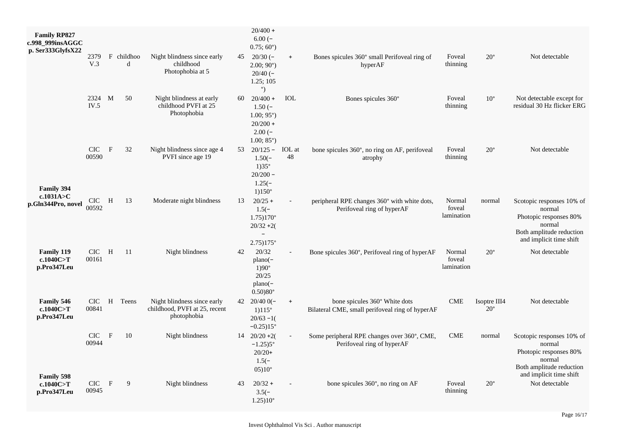| <b>Family RP827</b><br>c.998_999insAGGC<br>p. Ser333GlyfsX22 |                     |              |                 |                                                                             |    | $20/400 +$<br>$6.00(-$<br>$0.75; 60^{\circ}$ )                                                                |                          |                                                                                  |                                |                              |                                                                                                                                |
|--------------------------------------------------------------|---------------------|--------------|-----------------|-----------------------------------------------------------------------------|----|---------------------------------------------------------------------------------------------------------------|--------------------------|----------------------------------------------------------------------------------|--------------------------------|------------------------------|--------------------------------------------------------------------------------------------------------------------------------|
|                                                              | 2379<br>V.3         |              | F childhoo<br>d | Night blindness since early<br>childhood<br>Photophobia at 5                |    | 45 $20/30$ (-<br>2.00; 90°<br>$20/40$ (-<br>1.25; 105<br>$^{\circ}$                                           | $\ddot{}$                | Bones spicules 360° small Perifoveal ring of<br>hyperAF                          | Foveal<br>thinning             | $20^{\circ}$                 | Not detectable                                                                                                                 |
|                                                              | 2324 M<br>IV.5      |              | 50              | Night blindness at early<br>childhood PVFI at 25<br>Photophobia             | 60 | $20/400 +$<br>$1.50(-$<br>$1.00; 95^{\circ}$ )<br>$20/200 +$<br>$2.00(-)$<br>$1.00; 85^{\circ}$ )             | IOL                      | Bones spicules 360°                                                              | Foveal<br>thinning             | $10^{\circ}$                 | Not detectable except for<br>residual 30 Hz flicker ERG                                                                        |
| Family 394                                                   | <b>CIC</b><br>00590 | $\mathbf{F}$ | 32              | Night blindness since age 4<br>PVFI since age 19                            |    | 53 $20/125 -$<br>$1.50(-)$<br>$1)35^{\circ}$<br>$20/200 -$<br>$1.25(-)$<br>$1)150^{\circ}$                    | IOL at<br>48             | bone spicules 360°, no ring on AF, perifoveal<br>atrophy                         | Foveal<br>thinning             | $20^{\circ}$                 | Not detectable                                                                                                                 |
| c.1031A > C<br>p.Gln344Pro, novel                            | CIC -<br>00592      | H            | 13              | Moderate night blindness                                                    | 13 | $20/25 +$<br>$1.5(-)$<br>$1.75)170^{\circ}$<br>$20/32 + 2($<br>$\overline{\phantom{a}}$<br>$2.75)175^{\circ}$ |                          | peripheral RPE changes 360° with white dots,<br>Perifoveal ring of hyperAF       | Normal<br>foveal<br>lamination | normal                       | Scotopic responses 10% of<br>normal<br>Photopic responses 80%<br>normal<br>Both amplitude reduction<br>and implicit time shift |
| Family 119<br>c.1040C>T<br>p.Pro347Leu                       | <b>CIC</b><br>00161 | H            | -11             | Night blindness                                                             | 42 | 20/32<br>$plane(-)$<br>$1)90^\circ$<br>20/25<br>$plano(-)$<br>$0.50)80^{\circ}$                               |                          | Bone spicules 360°, Perifoveal ring of hyperAF                                   | Normal<br>foveal<br>lamination | $20^{\circ}$                 | Not detectable                                                                                                                 |
| <b>Family 546</b><br>c.1040C>T<br>p.Pro347Leu                | <b>CIC</b><br>00841 |              | H Teens         | Night blindness since early<br>childhood, PVFI at 25, recent<br>photophobia |    | 42 $20/400$ –<br>$1)115^{\circ}$<br>$20/63 - 1$<br>$-0.25$ ) $15^{\circ}$                                     | $+$                      | bone spicules 360° White dots<br>Bilateral CME, small perifoveal ring of hyperAF | <b>CME</b>                     | Isoptre III4<br>$20^{\circ}$ | Not detectable                                                                                                                 |
| <b>Family 598</b>                                            | <b>CIC</b><br>00944 | $\mathbf{F}$ | 10              | Night blindness                                                             |    | $14 \quad 20/20 + 2($<br>$-1.25$ )5°<br>$20/20+$<br>$1.5(-)$<br>$05)10^\circ$                                 | $\overline{\phantom{a}}$ | Some peripheral RPE changes over 360°, CME,<br>Perifoveal ring of hyperAF        | <b>CME</b>                     | normal                       | Scotopic responses 10% of<br>normal<br>Photopic responses 80%<br>normal<br>Both amplitude reduction<br>and implicit time shift |
| c.1040 $C>T$<br>p.Pro347Leu                                  | CIC<br>00945        | $\mathbf F$  | 9               | Night blindness                                                             | 43 | $20/32 +$<br>$3.5(-)$<br>$1.25)10^{\circ}$                                                                    |                          | bone spicules 360°, no ring on AF                                                | Foveal<br>thinning             | $20^{\circ}$                 | Not detectable                                                                                                                 |